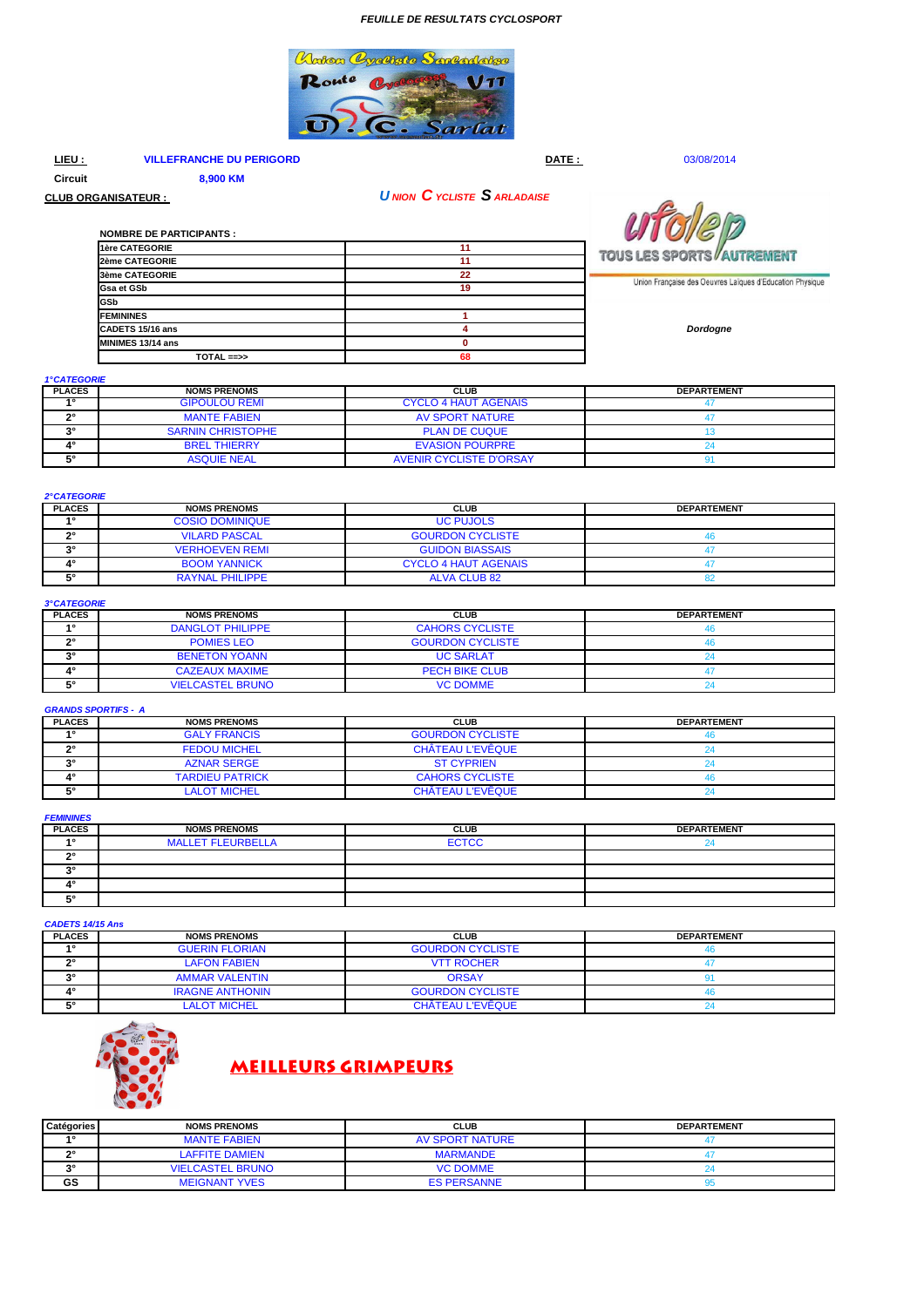### **FEUILLE DE RESULTATS CYCLOSPORT**



#### **VILLEFRANCHE DU PERIGORD**  $LIEU:$

**NOMBRE DE PARTICIPANTS:** 

8,900 KM

TOTAL ==>>

DATE:

03/08/2014

Circuit

**CLUB ORGANISATEUR :** 

1ère CATEGORIE

2ème CATEGORIE

3ème CATEGORIE

CADETS 15/16 ans

MINIMES 13/14 ans

**Gsa et GSb** GSb **FEMININES**  **UNION CYCLISTE SARLADAISE** 

 $11$ 

 $11$ 

22

19

1

 $\overline{4}$ 

 $\bullet$ 

۵s



Union Française des Oeuvres Laïques d'Education Physique

Dordogne

1°CATEGORIE

| <b>PLACES</b>  | <b>NOMS PRENOMS</b>      | <b>CLUB</b>                    | <b>DEPARTEMENT</b> |
|----------------|--------------------------|--------------------------------|--------------------|
| $\overline{4}$ | <b>GIPOULOU REMI</b>     | <b>CYCLO 4 HAUT AGENAIS</b>    |                    |
| no             | <b>MANTE FABIEN</b>      | AV SPORT NATURE                |                    |
| $\sim$         | <b>SARNIN CHRISTOPHE</b> | <b>PLAN DE CUQUE</b>           |                    |
| 40             | <b>BREL THIERRY</b>      | <b>EVASION POURPRE</b>         |                    |
| r.             | <b>ASQUIE NEAL</b>       | <b>AVENIR CYCLISTE D'ORSAY</b> |                    |

| <b>2°CATEGORIE</b> |                        |                             |                    |
|--------------------|------------------------|-----------------------------|--------------------|
| <b>PLACES</b>      | <b>NOMS PRENOMS</b>    | <b>CLUB</b>                 | <b>DEPARTEMENT</b> |
| 40                 | <b>COSIO DOMINIQUE</b> | <b>UC PUJOLS</b>            |                    |
| າິ                 | <b>VILARD PASCAL</b>   | <b>GOURDON CYCLISTE</b>     |                    |
| າ                  | <b>VERHOEVEN REMI</b>  | <b>GUIDON BIASSAIS</b>      |                    |
| 4۰                 | <b>BOOM YANNICK</b>    | <b>CYCLO 4 HAUT AGENAIS</b> |                    |
| <b>E</b> °         | <b>RAYNAL PHILIPPE</b> | <b>ALVA CLUB 82</b>         |                    |

## 3°CATEGORIE

| <b>PLACES</b> | <b>NOMS PRENOMS</b>     | <b>CLUB</b>             | <b>DEPARTEMENT</b> |
|---------------|-------------------------|-------------------------|--------------------|
| 40            | <b>DANGLOT PHILIPPE</b> | <b>CAHORS CYCLISTE</b>  |                    |
| no            | <b>POMIES LEO</b>       | <b>GOURDON CYCLISTE</b> |                    |
| no            | <b>BENETON YOANN</b>    | <b>UC SARLAT</b>        |                    |
| 40            | <b>CAZEAUX MAXIME</b>   | <b>PECH BIKE CLUB</b>   |                    |
| E0            | <b>VIELCASTEL BRUNO</b> | <b>VC DOMME</b>         |                    |

#### **GRANDS SPORTIFS - A**

| <b>PLACES</b> | <b>NOMS PRENOMS</b>    | CLUB                    | <b>DEPARTEMENT</b> |
|---------------|------------------------|-------------------------|--------------------|
| 40            | <b>GALY FRANCIS</b>    | <b>GOURDON CYCLISTE</b> |                    |
| no            | <b>FEDOU MICHEL</b>    | CHÂTEAU L'EVÊQUE        |                    |
| $\bullet$     | <b>AZNAR SERGE</b>     | <b>ST CYPRIEN</b>       |                    |
|               | <b>TARDIEU PATRICK</b> | <b>CAHORS CYCLISTE</b>  |                    |
| r.            | <b>LALOT MICHEL</b>    | CHÂTEAU L'EVÊQUE        |                    |

**FEMININES** 

| <b>PLACES</b>  | <b>NOMS PRENOMS</b>      | <b>CLUB</b>  | <b>DEPARTEMENT</b> |
|----------------|--------------------------|--------------|--------------------|
| $\overline{A}$ | <b>MALLET FLEURBELLA</b> | <b>ECTCC</b> |                    |
| o c            |                          |              |                    |
| $\sim$         |                          |              |                    |
|                |                          |              |                    |
| r o            |                          |              |                    |

| <b>CADETS 14/15 Ans</b> |                        |                         |                    |
|-------------------------|------------------------|-------------------------|--------------------|
| <b>PLACES</b>           | <b>NOMS PRENOMS</b>    | <b>CLUB</b>             | <b>DEPARTEMENT</b> |
| $\sim$                  | <b>GUERIN FLORIAN</b>  | <b>GOURDON CYCLISTE</b> |                    |
| no.                     | <b>LAFON FABIEN</b>    | <b>VTT ROCHER</b>       |                    |
| $\sim$                  | <b>AMMAR VALENTIN</b>  | <b>ORSAY</b>            |                    |
| 4°                      | <b>IRAGNE ANTHONIN</b> | <b>GOURDON CYCLISTE</b> |                    |
| Fо                      | <b>LALOT MICHEL</b>    | CHÂTEAU L'EVÊQUE        |                    |



# **MEILLEURS GRIMPEURS**

| Catégories | <b>NOMS PRENOMS</b>     | <b>CLUB</b>        | <b>DEPARTEMENT</b> |
|------------|-------------------------|--------------------|--------------------|
| 40         | <b>MANTE FABIEN</b>     | AV SPORT NATURE    |                    |
| $\sim$     | <b>AFFITE DAMIEN</b>    | <b>MARMANDE</b>    |                    |
| $\sim$     | <b>VIELCASTEL BRUNO</b> | <b>VC DOMME</b>    |                    |
| GS         | <b>MEIGNANT YVES</b>    | <b>ES PERSANNE</b> |                    |